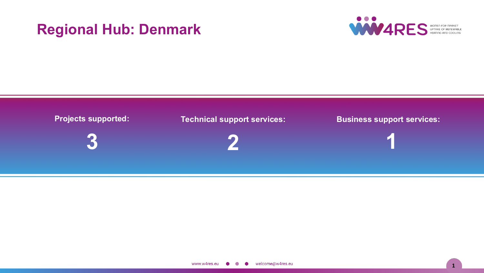# **Regional Hub: Denmark**



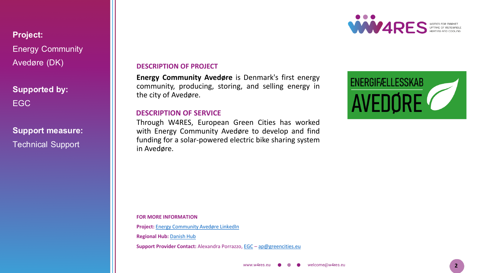**Project:** Energy Community Avedøre (DK)

**Supported by:** EGC

**Support measure:** Technical Support

**DESCRIPTION OF PROJECT**

**Energy Community Avedøre** is Denmark's first energy community, producing, storing, and selling energy in the city of Avedøre.

## **DESCRIPTION OF SERVICE**

Through W4RES, European Green Cities has worked with Energy Community Avedøre to develop and find funding for a solar-powered electric bike sharing system in Avedøre.

**FOR MORE INFORMATION**

**Project:** Energy [Community](https://www.linkedin.com/company/efadk2650/about/) Avedøre LinkedIn

**Regional Hub:** [Danish](https://w4resobservatory.eu/regional-hubs/hub-denmark/) Hub

**Support Provider Contact:** Alexandra Porrazzo, [EGC](http://www.greencities.eu/) – [ap@greencities.eu](mailto:ap@greencities.eu)



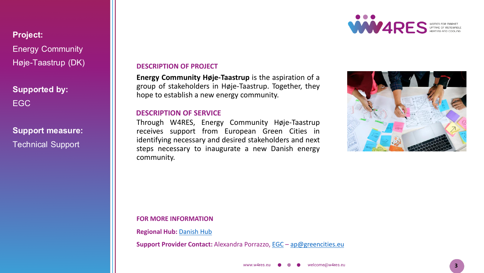**Project:** Energy Community Høje-Taastrup (DK)

**Supported by:** EGC

**Support measure:** Technical Support

**DESCRIPTION OF PROJECT**

**Energy Community Høje-Taastrup** is the aspiration of a group of stakeholders in Høje-Taastrup. Together, they hope to establish a new energy community.

## **DESCRIPTION OF SERVICE**

Through W4RES, Energy Community Høje-Taastrup receives support from European Green Cities in identifying necessary and desired stakeholders and next steps necessary to inaugurate a new Danish energy community.



WW4RES WOREN COR MARKET

#### **FOR MORE INFORMATION**

**Regional Hub:** [Danish](https://w4resobservatory.eu/regional-hubs/hub-denmark/) Hub

**Support Provider Contact:** Alexandra Porrazzo, [EGC](http://www.greencities.eu/) – [ap@greencities.eu](mailto:ap@greencities.eu)